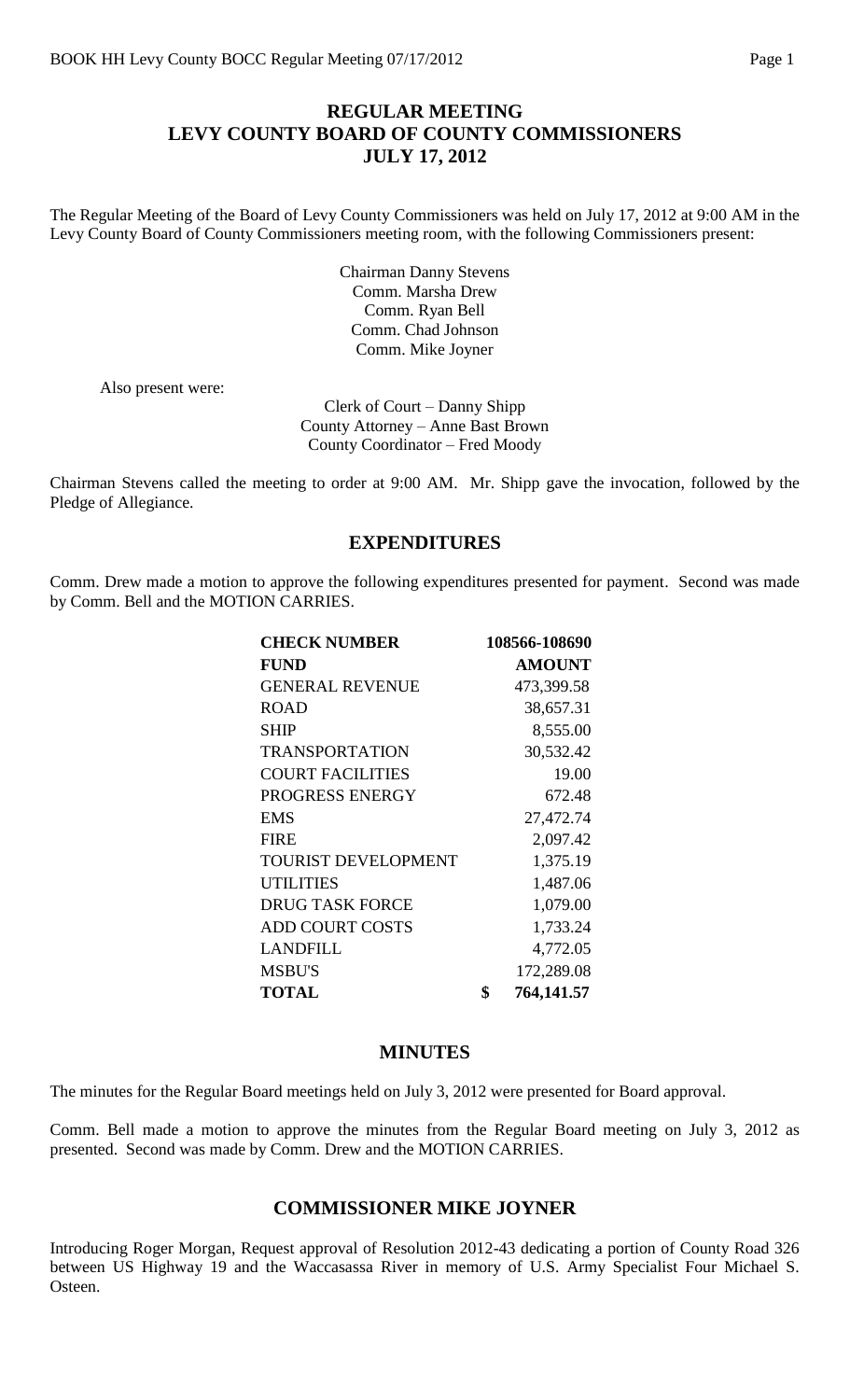### **REGULAR MEETING LEVY COUNTY BOARD OF COUNTY COMMISSIONERS JULY 17, 2012**

The Regular Meeting of the Board of Levy County Commissioners was held on July 17, 2012 at 9:00 AM in the Levy County Board of County Commissioners meeting room, with the following Commissioners present:

> Chairman Danny Stevens Comm. Marsha Drew Comm. Ryan Bell Comm. Chad Johnson Comm. Mike Joyner

Also present were:

Clerk of Court – Danny Shipp County Attorney – Anne Bast Brown County Coordinator – Fred Moody

Chairman Stevens called the meeting to order at 9:00 AM. Mr. Shipp gave the invocation, followed by the Pledge of Allegiance.

#### **EXPENDITURES**

Comm. Drew made a motion to approve the following expenditures presented for payment. Second was made by Comm. Bell and the MOTION CARRIES.

| <b>CHECK NUMBER</b>        | 108566-108690    |
|----------------------------|------------------|
| <b>FUND</b>                | <b>AMOUNT</b>    |
| <b>GENERAL REVENUE</b>     | 473,399.58       |
| <b>ROAD</b>                | 38,657.31        |
| <b>SHIP</b>                | 8,555.00         |
| <b>TRANSPORTATION</b>      | 30,532.42        |
| <b>COURT FACILITIES</b>    | 19.00            |
| PROGRESS ENERGY            | 672.48           |
| EMS                        | 27,472.74        |
| <b>FIRE</b>                | 2,097.42         |
| <b>TOURIST DEVELOPMENT</b> | 1,375.19         |
| <b>UTILITIES</b>           | 1,487.06         |
| <b>DRUG TASK FORCE</b>     | 1,079.00         |
| <b>ADD COURT COSTS</b>     | 1,733.24         |
| <b>LANDFILL</b>            | 4,772.05         |
| <b>MSBU'S</b>              | 172,289.08       |
| <b>TOTAL</b>               | \$<br>764,141.57 |

### **MINUTES**

The minutes for the Regular Board meetings held on July 3, 2012 were presented for Board approval.

Comm. Bell made a motion to approve the minutes from the Regular Board meeting on July 3, 2012 as presented. Second was made by Comm. Drew and the MOTION CARRIES.

### **COMMISSIONER MIKE JOYNER**

Introducing Roger Morgan, Request approval of Resolution 2012-43 dedicating a portion of County Road 326 between US Highway 19 and the Waccasassa River in memory of U.S. Army Specialist Four Michael S. Osteen.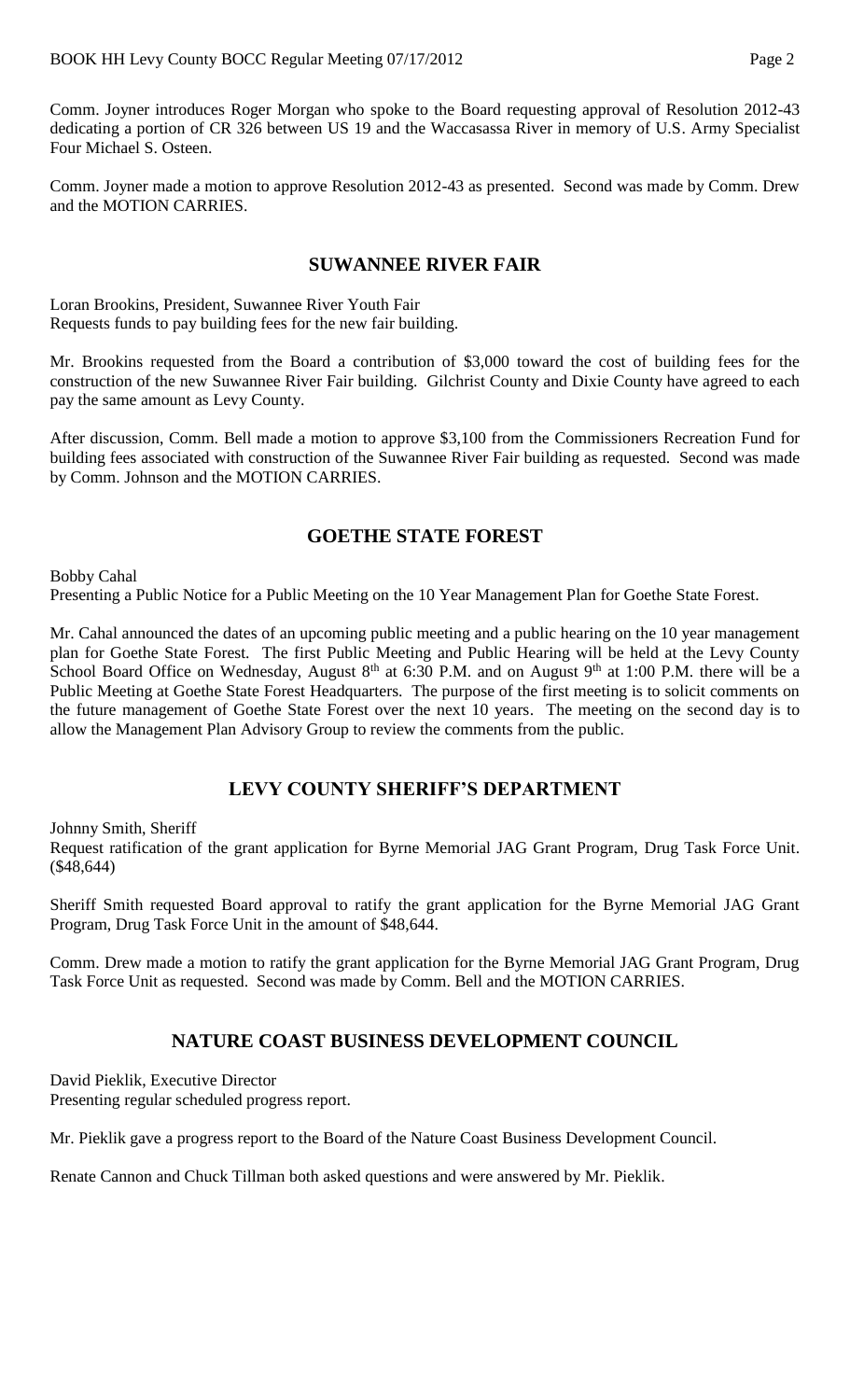Comm. Joyner introduces Roger Morgan who spoke to the Board requesting approval of Resolution 2012-43 dedicating a portion of CR 326 between US 19 and the Waccasassa River in memory of U.S. Army Specialist Four Michael S. Osteen.

Comm. Joyner made a motion to approve Resolution 2012-43 as presented. Second was made by Comm. Drew and the MOTION CARRIES.

#### **SUWANNEE RIVER FAIR**

Loran Brookins, President, Suwannee River Youth Fair Requests funds to pay building fees for the new fair building.

Mr. Brookins requested from the Board a contribution of \$3,000 toward the cost of building fees for the construction of the new Suwannee River Fair building. Gilchrist County and Dixie County have agreed to each pay the same amount as Levy County.

After discussion, Comm. Bell made a motion to approve \$3,100 from the Commissioners Recreation Fund for building fees associated with construction of the Suwannee River Fair building as requested. Second was made by Comm. Johnson and the MOTION CARRIES.

## **GOETHE STATE FOREST**

Bobby Cahal

Presenting a Public Notice for a Public Meeting on the 10 Year Management Plan for Goethe State Forest.

Mr. Cahal announced the dates of an upcoming public meeting and a public hearing on the 10 year management plan for Goethe State Forest. The first Public Meeting and Public Hearing will be held at the Levy County School Board Office on Wednesday, August  $8<sup>th</sup>$  at 6:30 P.M. and on August 9<sup>th</sup> at 1:00 P.M. there will be a Public Meeting at Goethe State Forest Headquarters. The purpose of the first meeting is to solicit comments on the future management of Goethe State Forest over the next 10 years. The meeting on the second day is to allow the Management Plan Advisory Group to review the comments from the public.

## **LEVY COUNTY SHERIFF'S DEPARTMENT**

Johnny Smith, Sheriff

Request ratification of the grant application for Byrne Memorial JAG Grant Program, Drug Task Force Unit. (\$48,644)

Sheriff Smith requested Board approval to ratify the grant application for the Byrne Memorial JAG Grant Program, Drug Task Force Unit in the amount of \$48,644.

Comm. Drew made a motion to ratify the grant application for the Byrne Memorial JAG Grant Program, Drug Task Force Unit as requested. Second was made by Comm. Bell and the MOTION CARRIES.

### **NATURE COAST BUSINESS DEVELOPMENT COUNCIL**

David Pieklik, Executive Director Presenting regular scheduled progress report.

Mr. Pieklik gave a progress report to the Board of the Nature Coast Business Development Council.

Renate Cannon and Chuck Tillman both asked questions and were answered by Mr. Pieklik.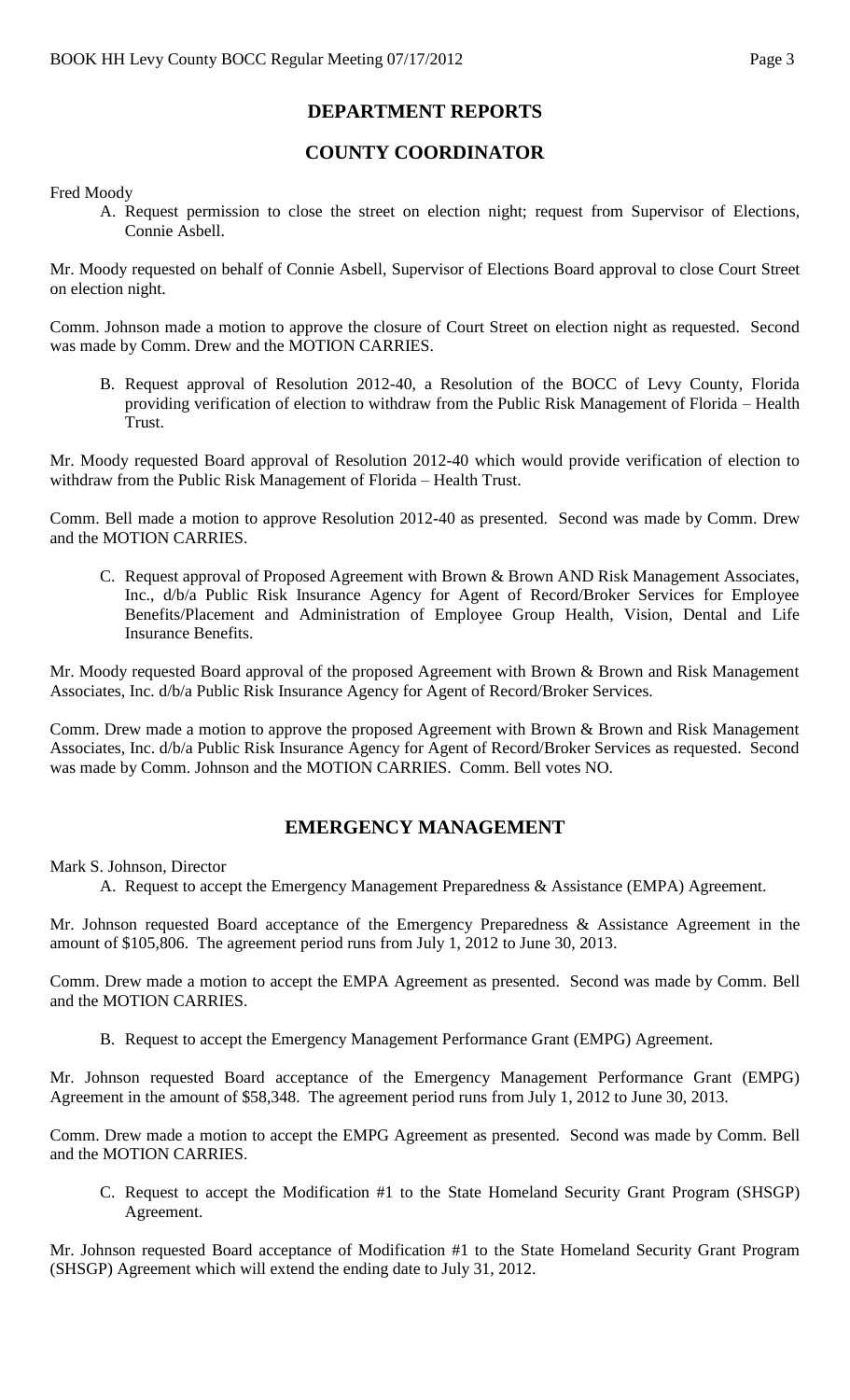# **DEPARTMENT REPORTS**

### **COUNTY COORDINATOR**

Fred Moody

A. Request permission to close the street on election night; request from Supervisor of Elections, Connie Asbell.

Mr. Moody requested on behalf of Connie Asbell, Supervisor of Elections Board approval to close Court Street on election night.

Comm. Johnson made a motion to approve the closure of Court Street on election night as requested. Second was made by Comm. Drew and the MOTION CARRIES.

B. Request approval of Resolution 2012-40, a Resolution of the BOCC of Levy County, Florida providing verification of election to withdraw from the Public Risk Management of Florida – Health Trust.

Mr. Moody requested Board approval of Resolution 2012-40 which would provide verification of election to withdraw from the Public Risk Management of Florida – Health Trust.

Comm. Bell made a motion to approve Resolution 2012-40 as presented. Second was made by Comm. Drew and the MOTION CARRIES.

C. Request approval of Proposed Agreement with Brown & Brown AND Risk Management Associates, Inc., d/b/a Public Risk Insurance Agency for Agent of Record/Broker Services for Employee Benefits/Placement and Administration of Employee Group Health, Vision, Dental and Life Insurance Benefits.

Mr. Moody requested Board approval of the proposed Agreement with Brown & Brown and Risk Management Associates, Inc. d/b/a Public Risk Insurance Agency for Agent of Record/Broker Services.

Comm. Drew made a motion to approve the proposed Agreement with Brown & Brown and Risk Management Associates, Inc. d/b/a Public Risk Insurance Agency for Agent of Record/Broker Services as requested. Second was made by Comm. Johnson and the MOTION CARRIES. Comm. Bell votes NO.

### **EMERGENCY MANAGEMENT**

Mark S. Johnson, Director

A. Request to accept the Emergency Management Preparedness & Assistance (EMPA) Agreement.

Mr. Johnson requested Board acceptance of the Emergency Preparedness & Assistance Agreement in the amount of \$105,806. The agreement period runs from July 1, 2012 to June 30, 2013.

Comm. Drew made a motion to accept the EMPA Agreement as presented. Second was made by Comm. Bell and the MOTION CARRIES.

B. Request to accept the Emergency Management Performance Grant (EMPG) Agreement.

Mr. Johnson requested Board acceptance of the Emergency Management Performance Grant (EMPG) Agreement in the amount of \$58,348. The agreement period runs from July 1, 2012 to June 30, 2013.

Comm. Drew made a motion to accept the EMPG Agreement as presented. Second was made by Comm. Bell and the MOTION CARRIES.

C. Request to accept the Modification #1 to the State Homeland Security Grant Program (SHSGP) Agreement.

Mr. Johnson requested Board acceptance of Modification #1 to the State Homeland Security Grant Program (SHSGP) Agreement which will extend the ending date to July 31, 2012.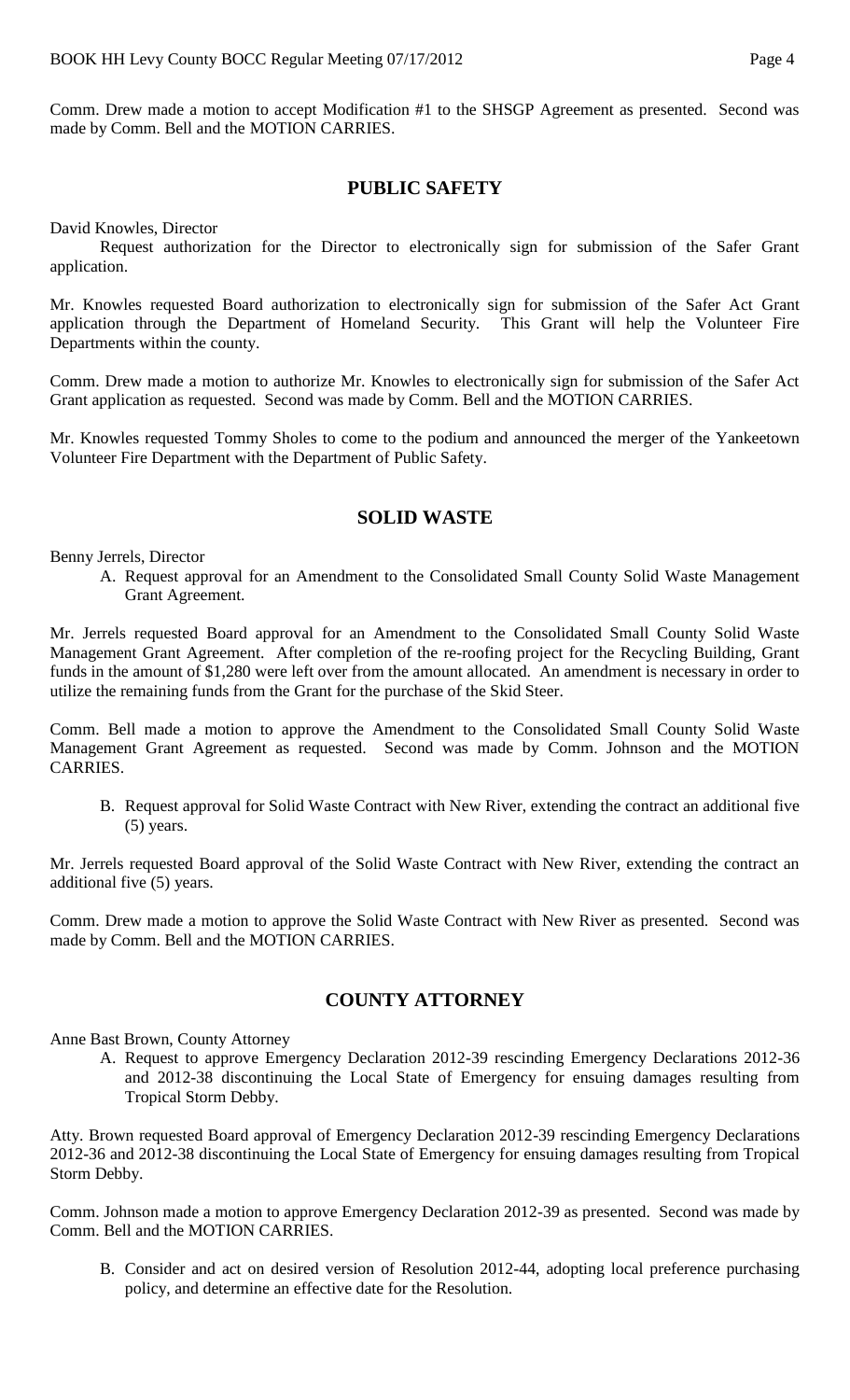Comm. Drew made a motion to accept Modification #1 to the SHSGP Agreement as presented. Second was made by Comm. Bell and the MOTION CARRIES.

### **PUBLIC SAFETY**

David Knowles, Director

Request authorization for the Director to electronically sign for submission of the Safer Grant application.

Mr. Knowles requested Board authorization to electronically sign for submission of the Safer Act Grant application through the Department of Homeland Security. This Grant will help the Volunteer Fire Departments within the county.

Comm. Drew made a motion to authorize Mr. Knowles to electronically sign for submission of the Safer Act Grant application as requested. Second was made by Comm. Bell and the MOTION CARRIES.

Mr. Knowles requested Tommy Sholes to come to the podium and announced the merger of the Yankeetown Volunteer Fire Department with the Department of Public Safety.

### **SOLID WASTE**

Benny Jerrels, Director

A. Request approval for an Amendment to the Consolidated Small County Solid Waste Management Grant Agreement.

Mr. Jerrels requested Board approval for an Amendment to the Consolidated Small County Solid Waste Management Grant Agreement. After completion of the re-roofing project for the Recycling Building, Grant funds in the amount of \$1,280 were left over from the amount allocated. An amendment is necessary in order to utilize the remaining funds from the Grant for the purchase of the Skid Steer.

Comm. Bell made a motion to approve the Amendment to the Consolidated Small County Solid Waste Management Grant Agreement as requested. Second was made by Comm. Johnson and the MOTION CARRIES.

B. Request approval for Solid Waste Contract with New River, extending the contract an additional five (5) years.

Mr. Jerrels requested Board approval of the Solid Waste Contract with New River, extending the contract an additional five (5) years.

Comm. Drew made a motion to approve the Solid Waste Contract with New River as presented. Second was made by Comm. Bell and the MOTION CARRIES.

## **COUNTY ATTORNEY**

Anne Bast Brown, County Attorney

A. Request to approve Emergency Declaration 2012-39 rescinding Emergency Declarations 2012-36 and 2012-38 discontinuing the Local State of Emergency for ensuing damages resulting from Tropical Storm Debby.

Atty. Brown requested Board approval of Emergency Declaration 2012-39 rescinding Emergency Declarations 2012-36 and 2012-38 discontinuing the Local State of Emergency for ensuing damages resulting from Tropical Storm Debby.

Comm. Johnson made a motion to approve Emergency Declaration 2012-39 as presented. Second was made by Comm. Bell and the MOTION CARRIES.

B. Consider and act on desired version of Resolution 2012-44, adopting local preference purchasing policy, and determine an effective date for the Resolution.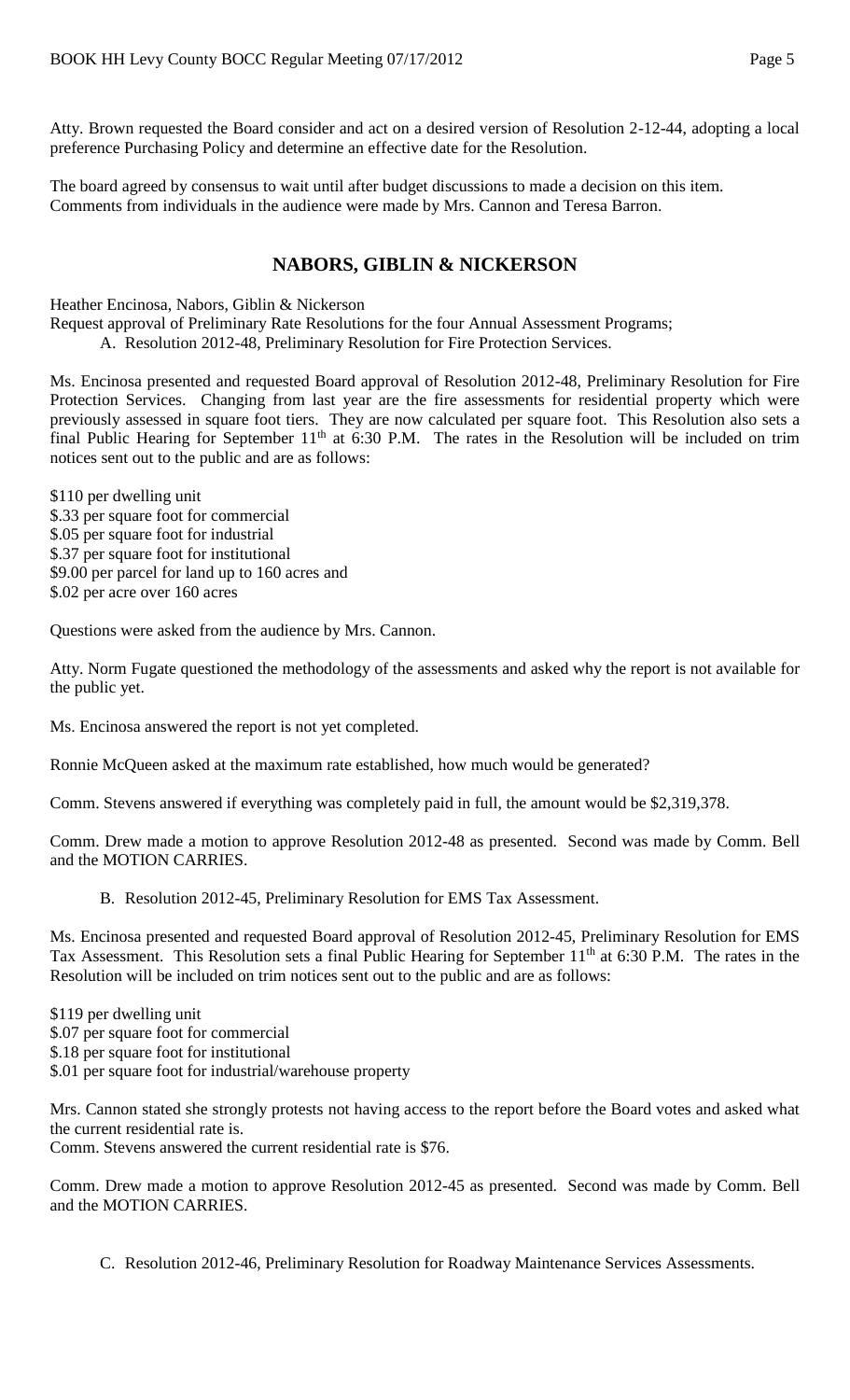Atty. Brown requested the Board consider and act on a desired version of Resolution 2-12-44, adopting a local preference Purchasing Policy and determine an effective date for the Resolution.

The board agreed by consensus to wait until after budget discussions to made a decision on this item. Comments from individuals in the audience were made by Mrs. Cannon and Teresa Barron.

# **NABORS, GIBLIN & NICKERSON**

Heather Encinosa, Nabors, Giblin & Nickerson Request approval of Preliminary Rate Resolutions for the four Annual Assessment Programs; A. Resolution 2012-48, Preliminary Resolution for Fire Protection Services.

Ms. Encinosa presented and requested Board approval of Resolution 2012-48, Preliminary Resolution for Fire Protection Services. Changing from last year are the fire assessments for residential property which were previously assessed in square foot tiers. They are now calculated per square foot. This Resolution also sets a final Public Hearing for September  $11<sup>th</sup>$  at 6:30 P.M. The rates in the Resolution will be included on trim notices sent out to the public and are as follows:

\$110 per dwelling unit \$.33 per square foot for commercial \$.05 per square foot for industrial \$.37 per square foot for institutional \$9.00 per parcel for land up to 160 acres and \$.02 per acre over 160 acres

Questions were asked from the audience by Mrs. Cannon.

Atty. Norm Fugate questioned the methodology of the assessments and asked why the report is not available for the public yet.

Ms. Encinosa answered the report is not yet completed.

Ronnie McQueen asked at the maximum rate established, how much would be generated?

Comm. Stevens answered if everything was completely paid in full, the amount would be \$2,319,378.

Comm. Drew made a motion to approve Resolution 2012-48 as presented. Second was made by Comm. Bell and the MOTION CARRIES.

B. Resolution 2012-45, Preliminary Resolution for EMS Tax Assessment.

Ms. Encinosa presented and requested Board approval of Resolution 2012-45, Preliminary Resolution for EMS Tax Assessment. This Resolution sets a final Public Hearing for September 11<sup>th</sup> at 6:30 P.M. The rates in the Resolution will be included on trim notices sent out to the public and are as follows:

\$119 per dwelling unit \$.07 per square foot for commercial \$.18 per square foot for institutional \$.01 per square foot for industrial/warehouse property

Mrs. Cannon stated she strongly protests not having access to the report before the Board votes and asked what the current residential rate is. Comm. Stevens answered the current residential rate is \$76.

Comm. Drew made a motion to approve Resolution 2012-45 as presented. Second was made by Comm. Bell and the MOTION CARRIES.

C. Resolution 2012-46, Preliminary Resolution for Roadway Maintenance Services Assessments.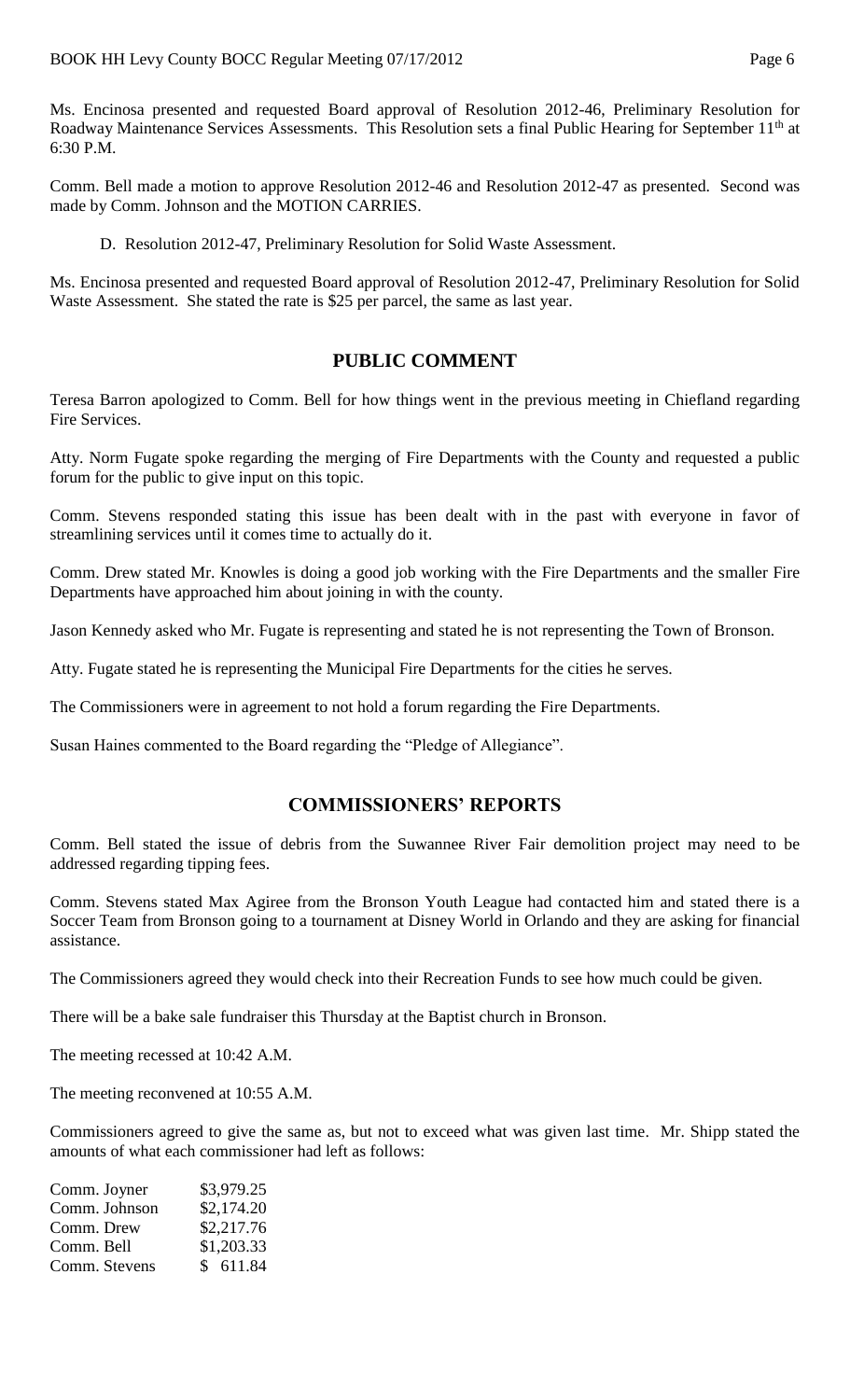Ms. Encinosa presented and requested Board approval of Resolution 2012-46, Preliminary Resolution for Roadway Maintenance Services Assessments. This Resolution sets a final Public Hearing for September 11<sup>th</sup> at 6:30 P.M.

Comm. Bell made a motion to approve Resolution 2012-46 and Resolution 2012-47 as presented. Second was made by Comm. Johnson and the MOTION CARRIES.

D. Resolution 2012-47, Preliminary Resolution for Solid Waste Assessment.

Ms. Encinosa presented and requested Board approval of Resolution 2012-47, Preliminary Resolution for Solid Waste Assessment. She stated the rate is \$25 per parcel, the same as last year.

### **PUBLIC COMMENT**

Teresa Barron apologized to Comm. Bell for how things went in the previous meeting in Chiefland regarding Fire Services.

Atty. Norm Fugate spoke regarding the merging of Fire Departments with the County and requested a public forum for the public to give input on this topic.

Comm. Stevens responded stating this issue has been dealt with in the past with everyone in favor of streamlining services until it comes time to actually do it.

Comm. Drew stated Mr. Knowles is doing a good job working with the Fire Departments and the smaller Fire Departments have approached him about joining in with the county.

Jason Kennedy asked who Mr. Fugate is representing and stated he is not representing the Town of Bronson.

Atty. Fugate stated he is representing the Municipal Fire Departments for the cities he serves.

The Commissioners were in agreement to not hold a forum regarding the Fire Departments.

Susan Haines commented to the Board regarding the "Pledge of Allegiance".

#### **COMMISSIONERS' REPORTS**

Comm. Bell stated the issue of debris from the Suwannee River Fair demolition project may need to be addressed regarding tipping fees.

Comm. Stevens stated Max Agiree from the Bronson Youth League had contacted him and stated there is a Soccer Team from Bronson going to a tournament at Disney World in Orlando and they are asking for financial assistance.

The Commissioners agreed they would check into their Recreation Funds to see how much could be given.

There will be a bake sale fundraiser this Thursday at the Baptist church in Bronson.

The meeting recessed at 10:42 A.M.

The meeting reconvened at 10:55 A.M.

Commissioners agreed to give the same as, but not to exceed what was given last time. Mr. Shipp stated the amounts of what each commissioner had left as follows:

| \$3,979.25 |
|------------|
| \$2,174.20 |
| \$2,217.76 |
| \$1,203.33 |
| \$611.84   |
|            |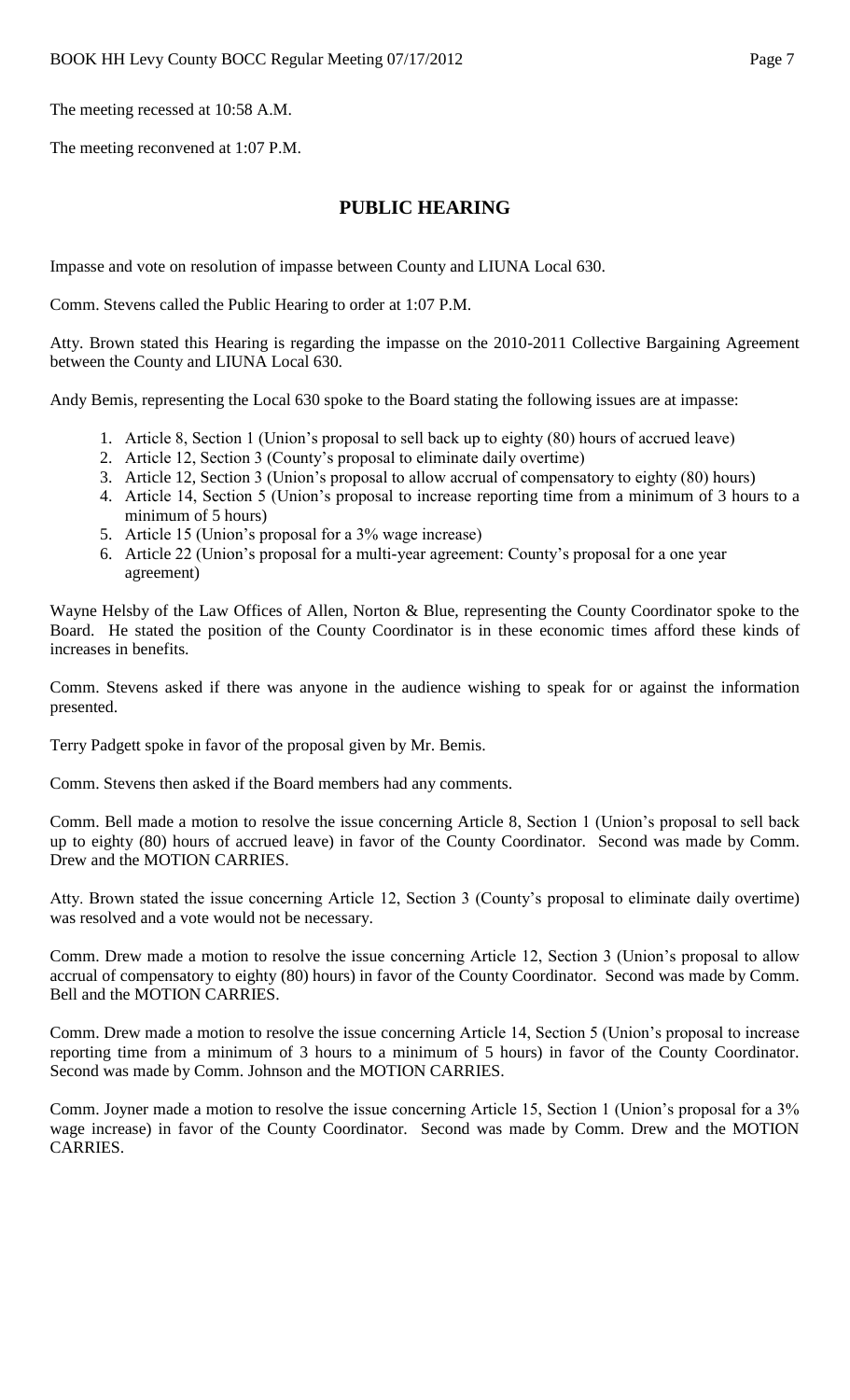The meeting recessed at 10:58 A.M.

The meeting reconvened at 1:07 P.M.

#### **PUBLIC HEARING**

Impasse and vote on resolution of impasse between County and LIUNA Local 630.

Comm. Stevens called the Public Hearing to order at 1:07 P.M.

Atty. Brown stated this Hearing is regarding the impasse on the 2010-2011 Collective Bargaining Agreement between the County and LIUNA Local 630.

Andy Bemis, representing the Local 630 spoke to the Board stating the following issues are at impasse:

- 1. Article 8, Section 1 (Union's proposal to sell back up to eighty (80) hours of accrued leave)
- 2. Article 12, Section 3 (County's proposal to eliminate daily overtime)
- 3. Article 12, Section 3 (Union's proposal to allow accrual of compensatory to eighty (80) hours)
- 4. Article 14, Section 5 (Union's proposal to increase reporting time from a minimum of 3 hours to a minimum of 5 hours)
- 5. Article 15 (Union's proposal for a 3% wage increase)
- 6. Article 22 (Union's proposal for a multi-year agreement: County's proposal for a one year agreement)

Wayne Helsby of the Law Offices of Allen, Norton & Blue, representing the County Coordinator spoke to the Board. He stated the position of the County Coordinator is in these economic times afford these kinds of increases in benefits.

Comm. Stevens asked if there was anyone in the audience wishing to speak for or against the information presented.

Terry Padgett spoke in favor of the proposal given by Mr. Bemis.

Comm. Stevens then asked if the Board members had any comments.

Comm. Bell made a motion to resolve the issue concerning Article 8, Section 1 (Union's proposal to sell back up to eighty (80) hours of accrued leave) in favor of the County Coordinator. Second was made by Comm. Drew and the MOTION CARRIES.

Atty. Brown stated the issue concerning Article 12, Section 3 (County's proposal to eliminate daily overtime) was resolved and a vote would not be necessary.

Comm. Drew made a motion to resolve the issue concerning Article 12, Section 3 (Union's proposal to allow accrual of compensatory to eighty (80) hours) in favor of the County Coordinator. Second was made by Comm. Bell and the MOTION CARRIES.

Comm. Drew made a motion to resolve the issue concerning Article 14, Section 5 (Union's proposal to increase reporting time from a minimum of 3 hours to a minimum of 5 hours) in favor of the County Coordinator. Second was made by Comm. Johnson and the MOTION CARRIES.

Comm. Joyner made a motion to resolve the issue concerning Article 15, Section 1 (Union's proposal for a 3% wage increase) in favor of the County Coordinator. Second was made by Comm. Drew and the MOTION CARRIES.